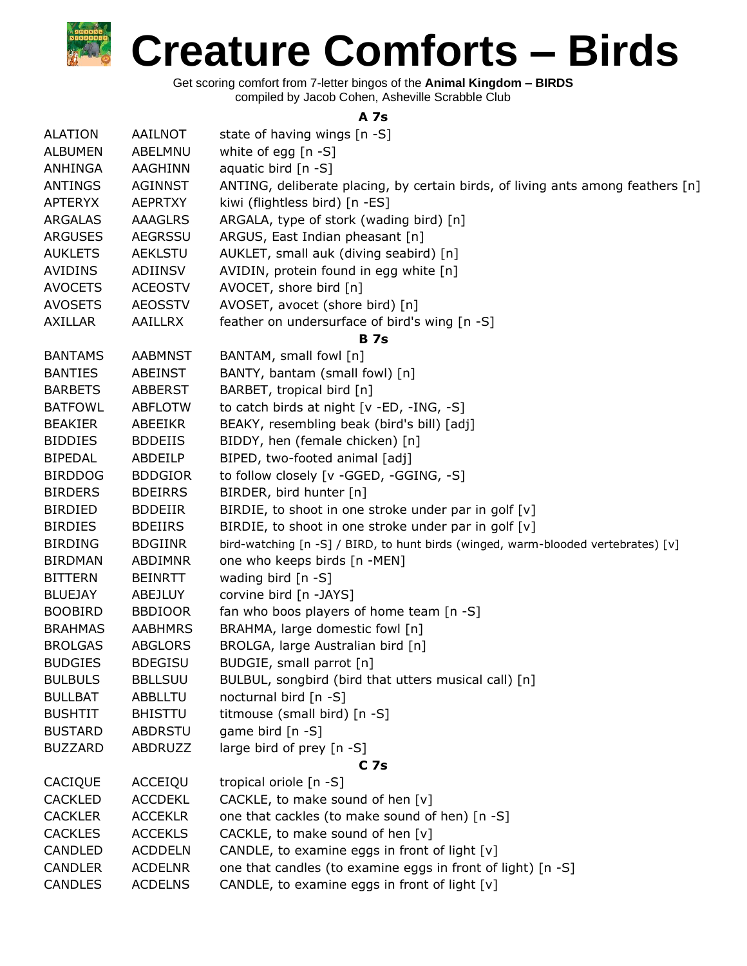Get scoring comfort from 7-letter bingos of the **Animal Kingdom – BIRDS** compiled by Jacob Cohen, Asheville Scrabble Club

## **A 7s**

| <b>ALATION</b> | AAILNOT        | state of having wings [n -S]                                                      |
|----------------|----------------|-----------------------------------------------------------------------------------|
| <b>ALBUMEN</b> | ABELMNU        | white of egg [n -S]                                                               |
| <b>ANHINGA</b> | <b>AAGHINN</b> | aquatic bird $[n - S]$                                                            |
| ANTINGS        | <b>AGINNST</b> | ANTING, deliberate placing, by certain birds, of living ants among feathers [n]   |
| <b>APTERYX</b> | <b>AEPRTXY</b> | kiwi (flightless bird) [n -ES]                                                    |
| <b>ARGALAS</b> | <b>AAAGLRS</b> | ARGALA, type of stork (wading bird) [n]                                           |
| <b>ARGUSES</b> | <b>AEGRSSU</b> | ARGUS, East Indian pheasant [n]                                                   |
| <b>AUKLETS</b> | <b>AEKLSTU</b> | AUKLET, small auk (diving seabird) [n]                                            |
| <b>AVIDINS</b> | ADIINSV        | AVIDIN, protein found in egg white [n]                                            |
| <b>AVOCETS</b> | <b>ACEOSTV</b> | AVOCET, shore bird [n]                                                            |
| <b>AVOSETS</b> | <b>AEOSSTV</b> | AVOSET, avocet (shore bird) [n]                                                   |
| <b>AXILLAR</b> | <b>AAILLRX</b> | feather on undersurface of bird's wing [n -S]                                     |
|                |                | <b>B</b> 7s                                                                       |
| <b>BANTAMS</b> | <b>AABMNST</b> | BANTAM, small fowl [n]                                                            |
| <b>BANTIES</b> | <b>ABEINST</b> | BANTY, bantam (small fowl) [n]                                                    |
| <b>BARBETS</b> | <b>ABBERST</b> | BARBET, tropical bird [n]                                                         |
| <b>BATFOWL</b> | <b>ABFLOTW</b> | to catch birds at night [v -ED, -ING, -S]                                         |
| <b>BEAKIER</b> | ABEEIKR        | BEAKY, resembling beak (bird's bill) [adj]                                        |
| <b>BIDDIES</b> | <b>BDDEIIS</b> | BIDDY, hen (female chicken) [n]                                                   |
| <b>BIPEDAL</b> | ABDEILP        | BIPED, two-footed animal [adj]                                                    |
| <b>BIRDDOG</b> | <b>BDDGIOR</b> | to follow closely [v -GGED, -GGING, -S]                                           |
| <b>BIRDERS</b> | <b>BDEIRRS</b> | BIRDER, bird hunter [n]                                                           |
| <b>BIRDIED</b> | <b>BDDEIIR</b> | BIRDIE, to shoot in one stroke under par in golf [v]                              |
| <b>BIRDIES</b> | <b>BDEIIRS</b> | BIRDIE, to shoot in one stroke under par in golf [v]                              |
| <b>BIRDING</b> | <b>BDGIINR</b> | bird-watching [n -S] / BIRD, to hunt birds (winged, warm-blooded vertebrates) [v] |
| <b>BIRDMAN</b> | ABDIMNR        | one who keeps birds [n -MEN]                                                      |
| <b>BITTERN</b> | <b>BEINRTT</b> | wading bird [n -S]                                                                |
| <b>BLUEJAY</b> | ABEJLUY        | corvine bird [n -JAYS]                                                            |
| <b>BOOBIRD</b> | <b>BBDIOOR</b> | fan who boos players of home team [n -S]                                          |
| <b>BRAHMAS</b> | <b>AABHMRS</b> | BRAHMA, large domestic fowl [n]                                                   |
| <b>BROLGAS</b> | <b>ABGLORS</b> | BROLGA, large Australian bird [n]                                                 |
| <b>BUDGIES</b> | <b>BDEGISU</b> | BUDGIE, small parrot [n]                                                          |
| <b>BULBULS</b> | <b>BBLLSUU</b> | BULBUL, songbird (bird that utters musical call) [n]                              |
| <b>BULLBAT</b> | <b>ABBLLTU</b> | nocturnal bird [n -S]                                                             |
| <b>BUSHTIT</b> | <b>BHISTTU</b> | titmouse (small bird) [n -S]                                                      |
| <b>BUSTARD</b> | <b>ABDRSTU</b> | game bird [n -S]                                                                  |
| <b>BUZZARD</b> | ABDRUZZ        | large bird of prey [n -S]                                                         |
|                |                | C <sub>7s</sub>                                                                   |
| CACIQUE        | ACCEIQU        | tropical oriole [n -S]                                                            |
| <b>CACKLED</b> | <b>ACCDEKL</b> | CACKLE, to make sound of hen [v]                                                  |
| <b>CACKLER</b> | <b>ACCEKLR</b> | one that cackles (to make sound of hen) [n -S]                                    |
| <b>CACKLES</b> | <b>ACCEKLS</b> | CACKLE, to make sound of hen [v]                                                  |
| CANDLED        | <b>ACDDELN</b> | CANDLE, to examine eggs in front of light [v]                                     |
| <b>CANDLER</b> | <b>ACDELNR</b> | one that candles (to examine eggs in front of light) [n -S]                       |
| <b>CANDLES</b> | <b>ACDELNS</b> | CANDLE, to examine eggs in front of light [v]                                     |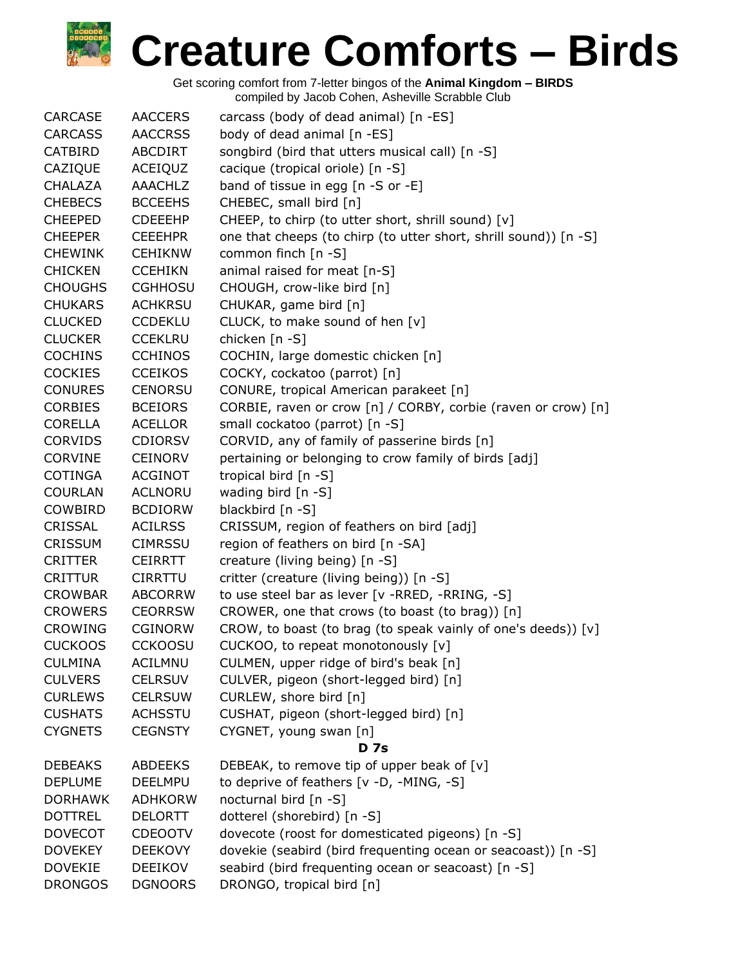| <b>CARCASE</b> | <b>AACCERS</b> | carcass (body of dead animal) [n -ES]                            |
|----------------|----------------|------------------------------------------------------------------|
| <b>CARCASS</b> | <b>AACCRSS</b> | body of dead animal [n -ES]                                      |
| CATBIRD        | <b>ABCDIRT</b> | songbird (bird that utters musical call) [n -S]                  |
| CAZIQUE        | ACEIQUZ        | cacique (tropical oriole) [n -S]                                 |
| <b>CHALAZA</b> | <b>AAACHLZ</b> | band of tissue in egg $[n - S$ or $-E]$                          |
| <b>CHEBECS</b> | <b>BCCEEHS</b> | CHEBEC, small bird [n]                                           |
| <b>CHEEPED</b> | <b>CDEEEHP</b> | CHEEP, to chirp (to utter short, shrill sound) [v]               |
| <b>CHEEPER</b> | <b>CEEEHPR</b> | one that cheeps (to chirp (to utter short, shrill sound)) [n -S] |
| <b>CHEWINK</b> | <b>CEHIKNW</b> | common finch [n -S]                                              |
| <b>CHICKEN</b> | <b>CCEHIKN</b> | animal raised for meat [n-S]                                     |
| <b>CHOUGHS</b> | <b>CGHHOSU</b> | CHOUGH, crow-like bird [n]                                       |
| <b>CHUKARS</b> | <b>ACHKRSU</b> | CHUKAR, game bird [n]                                            |
| <b>CLUCKED</b> | <b>CCDEKLU</b> | CLUCK, to make sound of hen [v]                                  |
| <b>CLUCKER</b> | <b>CCEKLRU</b> | chicken [n -S]                                                   |
| <b>COCHINS</b> | <b>CCHINOS</b> | COCHIN, large domestic chicken [n]                               |
| <b>COCKIES</b> | <b>CCEIKOS</b> | COCKY, cockatoo (parrot) [n]                                     |
| <b>CONURES</b> | <b>CENORSU</b> | CONURE, tropical American parakeet [n]                           |
| <b>CORBIES</b> | <b>BCEIORS</b> | CORBIE, raven or crow [n] / CORBY, corbie (raven or crow) [n]    |
| <b>CORELLA</b> | <b>ACELLOR</b> | small cockatoo (parrot) [n -S]                                   |
| <b>CORVIDS</b> | <b>CDIORSV</b> | CORVID, any of family of passerine birds [n]                     |
| CORVINE        | <b>CEINORV</b> | pertaining or belonging to crow family of birds [adj]            |
| <b>COTINGA</b> | <b>ACGINOT</b> | tropical bird [n -S]                                             |
| <b>COURLAN</b> | <b>ACLNORU</b> | wading bird [n -S]                                               |
| COWBIRD        | <b>BCDIORW</b> | blackbird [n -S]                                                 |
| <b>CRISSAL</b> | <b>ACILRSS</b> | CRISSUM, region of feathers on bird [adj]                        |
| <b>CRISSUM</b> | <b>CIMRSSU</b> | region of feathers on bird [n -SA]                               |
| <b>CRITTER</b> | <b>CEIRRTT</b> | creature (living being) [n -S]                                   |
| <b>CRITTUR</b> | <b>CIRRTTU</b> | critter (creature (living being)) [n -S]                         |
| <b>CROWBAR</b> | <b>ABCORRW</b> | to use steel bar as lever [v -RRED, -RRING, -S]                  |
| <b>CROWERS</b> | <b>CEORRSW</b> | CROWER, one that crows (to boast (to brag)) [n]                  |
| <b>CROWING</b> | <b>CGINORW</b> | CROW, to boast (to brag (to speak vainly of one's deeds)) [v]    |
| <b>CUCKOOS</b> | <b>CCKOOSU</b> | CUCKOO, to repeat monotonously [v]                               |
| <b>CULMINA</b> | <b>ACILMNU</b> | CULMEN, upper ridge of bird's beak [n]                           |
| <b>CULVERS</b> | <b>CELRSUV</b> | CULVER, pigeon (short-legged bird) [n]                           |
| <b>CURLEWS</b> | <b>CELRSUW</b> | CURLEW, shore bird [n]                                           |
| <b>CUSHATS</b> | <b>ACHSSTU</b> | CUSHAT, pigeon (short-legged bird) [n]                           |
| <b>CYGNETS</b> | <b>CEGNSTY</b> | CYGNET, young swan [n]                                           |
|                |                | <b>D</b> 7s                                                      |
| <b>DEBEAKS</b> | <b>ABDEEKS</b> | DEBEAK, to remove tip of upper beak of [v]                       |
| <b>DEPLUME</b> | <b>DEELMPU</b> | to deprive of feathers [v -D, -MING, -S]                         |
| <b>DORHAWK</b> | <b>ADHKORW</b> | nocturnal bird [n -S]                                            |
| <b>DOTTREL</b> | <b>DELORTT</b> | dotterel (shorebird) [n -S]                                      |
| <b>DOVECOT</b> | <b>CDEOOTV</b> | dovecote (roost for domesticated pigeons) [n -S]                 |
| <b>DOVEKEY</b> | <b>DEEKOVY</b> | dovekie (seabird (bird frequenting ocean or seacoast)) [n -S]    |
| <b>DOVEKIE</b> | <b>DEEIKOV</b> | seabird (bird frequenting ocean or seacoast) [n -S]              |
| <b>DRONGOS</b> | <b>DGNOORS</b> | DRONGO, tropical bird [n]                                        |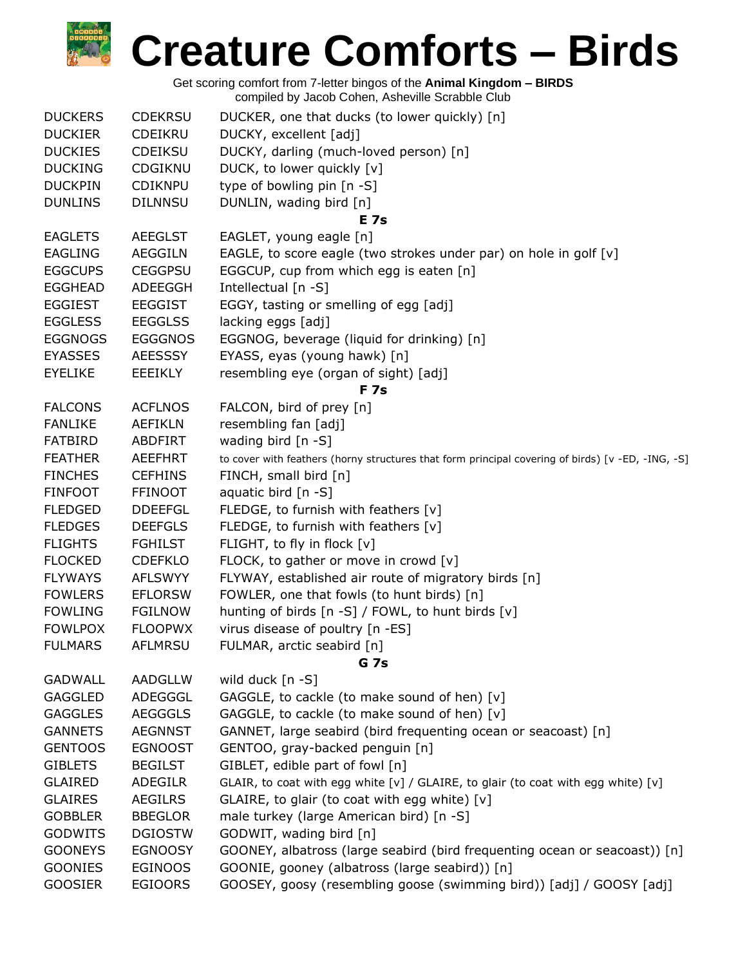| <b>DUCKERS</b> | <b>CDEKRSU</b> | DUCKER, one that ducks (to lower quickly) [n]                                                     |
|----------------|----------------|---------------------------------------------------------------------------------------------------|
| <b>DUCKIER</b> | <b>CDEIKRU</b> | DUCKY, excellent [adj]                                                                            |
| <b>DUCKIES</b> | <b>CDEIKSU</b> | DUCKY, darling (much-loved person) [n]                                                            |
| <b>DUCKING</b> | CDGIKNU        | DUCK, to lower quickly [v]                                                                        |
| <b>DUCKPIN</b> | <b>CDIKNPU</b> | type of bowling pin [n -S]                                                                        |
| <b>DUNLINS</b> | <b>DILNNSU</b> | DUNLIN, wading bird [n]                                                                           |
|                |                | E 7s                                                                                              |
| <b>EAGLETS</b> | <b>AEEGLST</b> | EAGLET, young eagle [n]                                                                           |
| <b>EAGLING</b> | <b>AEGGILN</b> | EAGLE, to score eagle (two strokes under par) on hole in golf [v]                                 |
| <b>EGGCUPS</b> | <b>CEGGPSU</b> | EGGCUP, cup from which egg is eaten [n]                                                           |
| <b>EGGHEAD</b> | ADEEGGH        | Intellectual [n -S]                                                                               |
| <b>EGGIEST</b> | <b>EEGGIST</b> | EGGY, tasting or smelling of egg [adj]                                                            |
| <b>EGGLESS</b> | <b>EEGGLSS</b> | lacking eggs [adj]                                                                                |
| <b>EGGNOGS</b> | <b>EGGGNOS</b> | EGGNOG, beverage (liquid for drinking) [n]                                                        |
| <b>EYASSES</b> | <b>AEESSSY</b> | EYASS, eyas (young hawk) [n]                                                                      |
| <b>EYELIKE</b> | EEEIKLY        | resembling eye (organ of sight) [adj]                                                             |
|                |                | <b>F7s</b>                                                                                        |
| <b>FALCONS</b> | <b>ACFLNOS</b> | FALCON, bird of prey [n]                                                                          |
| <b>FANLIKE</b> | <b>AEFIKLN</b> | resembling fan [adj]                                                                              |
| <b>FATBIRD</b> | <b>ABDFIRT</b> | wading bird [n -S]                                                                                |
| <b>FEATHER</b> | <b>AEEFHRT</b> | to cover with feathers (horny structures that form principal covering of birds) [v -ED, -ING, -S] |
| <b>FINCHES</b> | <b>CEFHINS</b> | FINCH, small bird [n]                                                                             |
| <b>FINFOOT</b> | <b>FFINOOT</b> | aquatic bird [n -S]                                                                               |
| <b>FLEDGED</b> | <b>DDEEFGL</b> | FLEDGE, to furnish with feathers [v]                                                              |
| <b>FLEDGES</b> | <b>DEEFGLS</b> | FLEDGE, to furnish with feathers [v]                                                              |
| <b>FLIGHTS</b> | <b>FGHILST</b> | FLIGHT, to fly in flock [v]                                                                       |
| <b>FLOCKED</b> | <b>CDEFKLO</b> | FLOCK, to gather or move in crowd [v]                                                             |
| <b>FLYWAYS</b> | <b>AFLSWYY</b> | FLYWAY, established air route of migratory birds [n]                                              |
| <b>FOWLERS</b> | <b>EFLORSW</b> | FOWLER, one that fowls (to hunt birds) [n]                                                        |
| <b>FOWLING</b> | <b>FGILNOW</b> | hunting of birds $[n -S]$ / FOWL, to hunt birds $[v]$                                             |
| <b>FOWLPOX</b> | <b>FLOOPWX</b> | virus disease of poultry [n -ES]                                                                  |
| <b>FULMARS</b> | <b>AFLMRSU</b> | FULMAR, arctic seabird [n]                                                                        |
|                |                | <b>G</b> 7s                                                                                       |
| <b>GADWALL</b> | AADGLLW        | wild duck [n -S]                                                                                  |
| <b>GAGGLED</b> | ADEGGGL        | GAGGLE, to cackle (to make sound of hen) [v]                                                      |
| <b>GAGGLES</b> | <b>AEGGGLS</b> | GAGGLE, to cackle (to make sound of hen) [v]                                                      |
| <b>GANNETS</b> | <b>AEGNNST</b> | GANNET, large seabird (bird frequenting ocean or seacoast) [n]                                    |
| <b>GENTOOS</b> | <b>EGNOOST</b> | GENTOO, gray-backed penguin [n]                                                                   |
| <b>GIBLETS</b> | <b>BEGILST</b> | GIBLET, edible part of fowl [n]                                                                   |
| <b>GLAIRED</b> | <b>ADEGILR</b> | GLAIR, to coat with egg white [v] / GLAIRE, to glair (to coat with egg white) [v]                 |
| <b>GLAIRES</b> | <b>AEGILRS</b> | GLAIRE, to glair (to coat with egg white) [v]                                                     |
| <b>GOBBLER</b> | <b>BBEGLOR</b> | male turkey (large American bird) [n -S]                                                          |
| <b>GODWITS</b> | <b>DGIOSTW</b> | GODWIT, wading bird [n]                                                                           |
| <b>GOONEYS</b> | <b>EGNOOSY</b> | GOONEY, albatross (large seabird (bird frequenting ocean or seacoast)) [n]                        |
| <b>GOONIES</b> | <b>EGINOOS</b> | GOONIE, gooney (albatross (large seabird)) [n]                                                    |
| <b>GOOSIER</b> | <b>EGIOORS</b> | GOOSEY, goosy (resembling goose (swimming bird)) [adj] / GOOSY [adj]                              |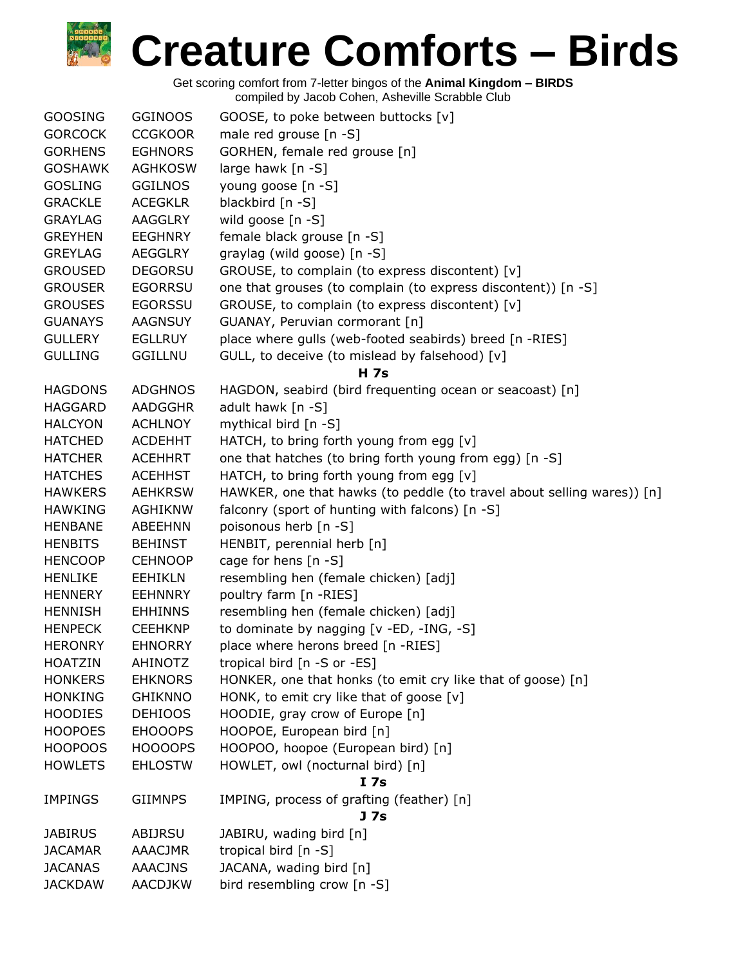| <b>GOOSING</b> | <b>GGINOOS</b> | GOOSE, to poke between buttocks [v]                                    |
|----------------|----------------|------------------------------------------------------------------------|
| <b>GORCOCK</b> | <b>CCGKOOR</b> | male red grouse [n -S]                                                 |
| <b>GORHENS</b> | <b>EGHNORS</b> | GORHEN, female red grouse [n]                                          |
| <b>GOSHAWK</b> | <b>AGHKOSW</b> | large hawk [n -S]                                                      |
| <b>GOSLING</b> | <b>GGILNOS</b> | young goose [n -S]                                                     |
| <b>GRACKLE</b> | <b>ACEGKLR</b> | blackbird [n -S]                                                       |
| <b>GRAYLAG</b> | <b>AAGGLRY</b> | wild goose [n -S]                                                      |
| <b>GREYHEN</b> | <b>EEGHNRY</b> | female black grouse [n -S]                                             |
| <b>GREYLAG</b> | <b>AEGGLRY</b> | graylag (wild goose) [n -S]                                            |
| <b>GROUSED</b> | <b>DEGORSU</b> | GROUSE, to complain (to express discontent) [v]                        |
| <b>GROUSER</b> | <b>EGORRSU</b> | one that grouses (to complain (to express discontent)) [n -S]          |
| <b>GROUSES</b> | <b>EGORSSU</b> | GROUSE, to complain (to express discontent) [v]                        |
| <b>GUANAYS</b> | <b>AAGNSUY</b> | GUANAY, Peruvian cormorant [n]                                         |
| <b>GULLERY</b> | <b>EGLLRUY</b> | place where gulls (web-footed seabirds) breed [n -RIES]                |
| <b>GULLING</b> | <b>GGILLNU</b> | GULL, to deceive (to mislead by falsehood) [v]                         |
|                |                | <b>H</b> 7s                                                            |
| <b>HAGDONS</b> | <b>ADGHNOS</b> | HAGDON, seabird (bird frequenting ocean or seacoast) [n]               |
| <b>HAGGARD</b> | <b>AADGGHR</b> | adult hawk [n -S]                                                      |
| <b>HALCYON</b> | <b>ACHLNOY</b> | mythical bird [n -S]                                                   |
| <b>HATCHED</b> | <b>ACDEHHT</b> | HATCH, to bring forth young from egg [v]                               |
| <b>HATCHER</b> | <b>ACEHHRT</b> | one that hatches (to bring forth young from egg) [n -S]                |
| <b>HATCHES</b> | <b>ACEHHST</b> | HATCH, to bring forth young from egg [v]                               |
| <b>HAWKERS</b> | <b>AEHKRSW</b> | HAWKER, one that hawks (to peddle (to travel about selling wares)) [n] |
| <b>HAWKING</b> | <b>AGHIKNW</b> | falconry (sport of hunting with falcons) [n -S]                        |
| <b>HENBANE</b> | <b>ABEEHNN</b> | poisonous herb [n -S]                                                  |
| <b>HENBITS</b> | <b>BEHINST</b> | HENBIT, perennial herb [n]                                             |
| <b>HENCOOP</b> | <b>CEHNOOP</b> | cage for hens [n -S]                                                   |
| <b>HENLIKE</b> | <b>EEHIKLN</b> | resembling hen (female chicken) [adj]                                  |
| <b>HENNERY</b> | <b>EEHNNRY</b> | poultry farm [n -RIES]                                                 |
| <b>HENNISH</b> | <b>EHHINNS</b> | resembling hen (female chicken) [adj]                                  |
| <b>HENPECK</b> | <b>CEEHKNP</b> | to dominate by nagging [v -ED, -ING, -S]                               |
| <b>HERONRY</b> | <b>EHNORRY</b> | place where herons breed [n -RIES]                                     |
| <b>HOATZIN</b> | <b>AHINOTZ</b> | tropical bird [n -S or -ES]                                            |
| <b>HONKERS</b> | <b>EHKNORS</b> | HONKER, one that honks (to emit cry like that of goose) [n]            |
| <b>HONKING</b> | <b>GHIKNNO</b> | HONK, to emit cry like that of goose [v]                               |
| <b>HOODIES</b> | <b>DEHIOOS</b> | HOODIE, gray crow of Europe [n]                                        |
| <b>HOOPOES</b> | <b>EHOOOPS</b> | HOOPOE, European bird [n]                                              |
| <b>HOOPOOS</b> | HOOOOPS        | HOOPOO, hoopoe (European bird) [n]                                     |
| <b>HOWLETS</b> | <b>EHLOSTW</b> | HOWLET, owl (nocturnal bird) [n]                                       |
|                |                | I <sub>7s</sub>                                                        |
| <b>IMPINGS</b> | <b>GIIMNPS</b> | IMPING, process of grafting (feather) [n]                              |
|                |                | J <sub>7s</sub>                                                        |
| <b>JABIRUS</b> | ABIJRSU        | JABIRU, wading bird [n]                                                |
| <b>JACAMAR</b> | AAACJMR        | tropical bird [n -S]                                                   |
| <b>JACANAS</b> | <b>AAACJNS</b> | JACANA, wading bird [n]                                                |
| <b>JACKDAW</b> | <b>AACDJKW</b> | bird resembling crow [n -S]                                            |
|                |                |                                                                        |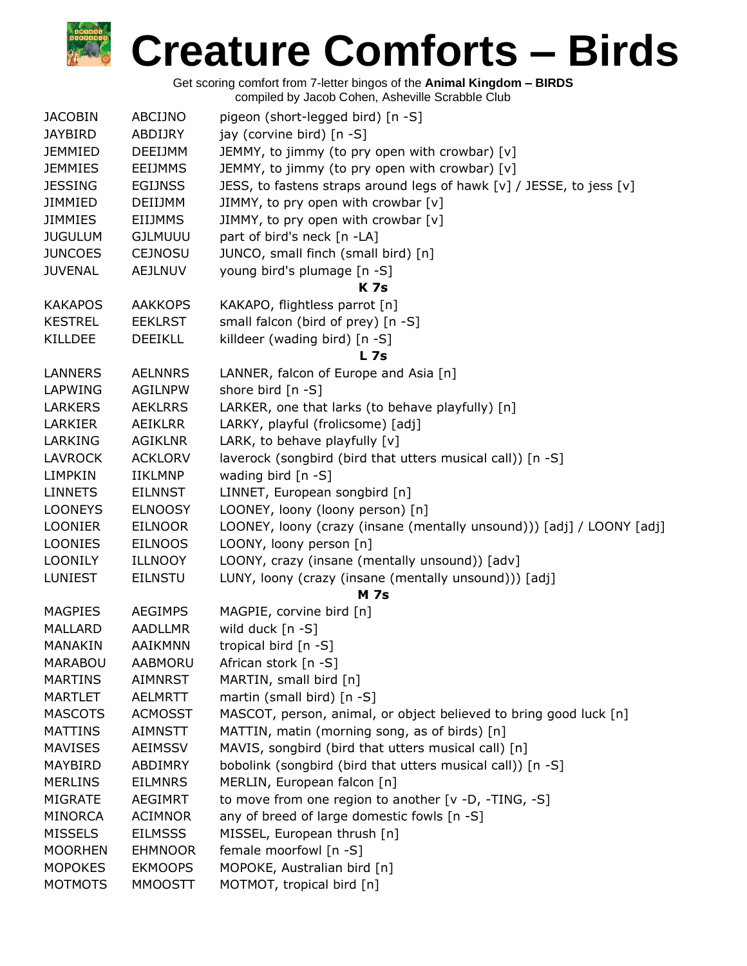| <b>JACOBIN</b> | ABCIJNO        | pigeon (short-legged bird) [n -S]                                     |
|----------------|----------------|-----------------------------------------------------------------------|
| <b>JAYBIRD</b> | ABDIJRY        | jay (corvine bird) [n -S]                                             |
| <b>JEMMIED</b> | <b>DEEIJMM</b> | JEMMY, to jimmy (to pry open with crowbar) [v]                        |
| <b>JEMMIES</b> | <b>EEIJMMS</b> | JEMMY, to jimmy (to pry open with crowbar) [v]                        |
| <b>JESSING</b> | <b>EGIJNSS</b> | JESS, to fastens straps around legs of hawk [v] / JESSE, to jess [v]  |
| <b>JIMMIED</b> | DEIIJMM        | JIMMY, to pry open with crowbar [v]                                   |
| <b>JIMMIES</b> | <b>EIIJMMS</b> | JIMMY, to pry open with crowbar [v]                                   |
| <b>JUGULUM</b> | <b>GJLMUUU</b> | part of bird's neck [n -LA]                                           |
| <b>JUNCOES</b> | <b>CEJNOSU</b> | JUNCO, small finch (small bird) [n]                                   |
| <b>JUVENAL</b> | <b>AEJLNUV</b> | young bird's plumage [n -S]                                           |
|                |                | <b>K</b> 7s                                                           |
| <b>KAKAPOS</b> | <b>AAKKOPS</b> | KAKAPO, flightless parrot [n]                                         |
| <b>KESTREL</b> | <b>EEKLRST</b> | small falcon (bird of prey) [n -S]                                    |
| KILLDEE        | <b>DEEIKLL</b> | killdeer (wading bird) [n -S]                                         |
|                |                | <b>L</b> 7s                                                           |
| <b>LANNERS</b> | <b>AELNNRS</b> | LANNER, falcon of Europe and Asia [n]                                 |
| LAPWING        | <b>AGILNPW</b> | shore bird [n -S]                                                     |
| <b>LARKERS</b> | <b>AEKLRRS</b> | LARKER, one that larks (to behave playfully) [n]                      |
| LARKIER        | AEIKLRR        | LARKY, playful (frolicsome) [adj]                                     |
| LARKING        | <b>AGIKLNR</b> | LARK, to behave playfully [v]                                         |
| <b>LAVROCK</b> | <b>ACKLORV</b> | laverock (songbird (bird that utters musical call)) [n -S]            |
| LIMPKIN        | <b>IIKLMNP</b> | wading bird [n -S]                                                    |
| <b>LINNETS</b> | <b>EILNNST</b> | LINNET, European songbird [n]                                         |
| <b>LOONEYS</b> | <b>ELNOOSY</b> | LOONEY, loony (loony person) [n]                                      |
| <b>LOONIER</b> | <b>EILNOOR</b> | LOONEY, loony (crazy (insane (mentally unsound))) [adj] / LOONY [adj] |
| LOONIES        | <b>EILNOOS</b> | LOONY, loony person [n]                                               |
| <b>LOONILY</b> | <b>ILLNOOY</b> | LOONY, crazy (insane (mentally unsound)) [adv]                        |
| <b>LUNIEST</b> | <b>EILNSTU</b> | LUNY, loony (crazy (insane (mentally unsound))) [adj]                 |
|                |                | <b>M</b> 7s                                                           |
| <b>MAGPIES</b> | <b>AEGIMPS</b> | MAGPIE, corvine bird [n]                                              |
| <b>MALLARD</b> | <b>AADLLMR</b> | wild duck [n -S]                                                      |
| MANAKIN        | AAIKMNN        | tropical bird $[n - S]$                                               |
| <b>MARABOU</b> | AABMORU        | African stork [n -S]                                                  |
| <b>MARTINS</b> | AIMNRST        | MARTIN, small bird [n]                                                |
| <b>MARTLET</b> | <b>AELMRTT</b> | martin (small bird) [n -S]                                            |
| <b>MASCOTS</b> | <b>ACMOSST</b> | MASCOT, person, animal, or object believed to bring good luck [n]     |
| <b>MATTINS</b> | <b>AIMNSTT</b> | MATTIN, matin (morning song, as of birds) [n]                         |
| <b>MAVISES</b> | <b>AEIMSSV</b> | MAVIS, songbird (bird that utters musical call) [n]                   |
| MAYBIRD        | ABDIMRY        | bobolink (songbird (bird that utters musical call)) [n -S]            |
| <b>MERLINS</b> | <b>EILMNRS</b> | MERLIN, European falcon [n]                                           |
| <b>MIGRATE</b> | <b>AEGIMRT</b> | to move from one region to another [v -D, -TING, -S]                  |
| <b>MINORCA</b> | <b>ACIMNOR</b> | any of breed of large domestic fowls [n -S]                           |
| <b>MISSELS</b> | <b>EILMSSS</b> | MISSEL, European thrush [n]                                           |
| <b>MOORHEN</b> | <b>EHMNOOR</b> | female moorfowl [n -S]                                                |
| <b>MOPOKES</b> | <b>EKMOOPS</b> | MOPOKE, Australian bird [n]                                           |
| <b>MOTMOTS</b> | <b>MMOOSTT</b> | MOTMOT, tropical bird [n]                                             |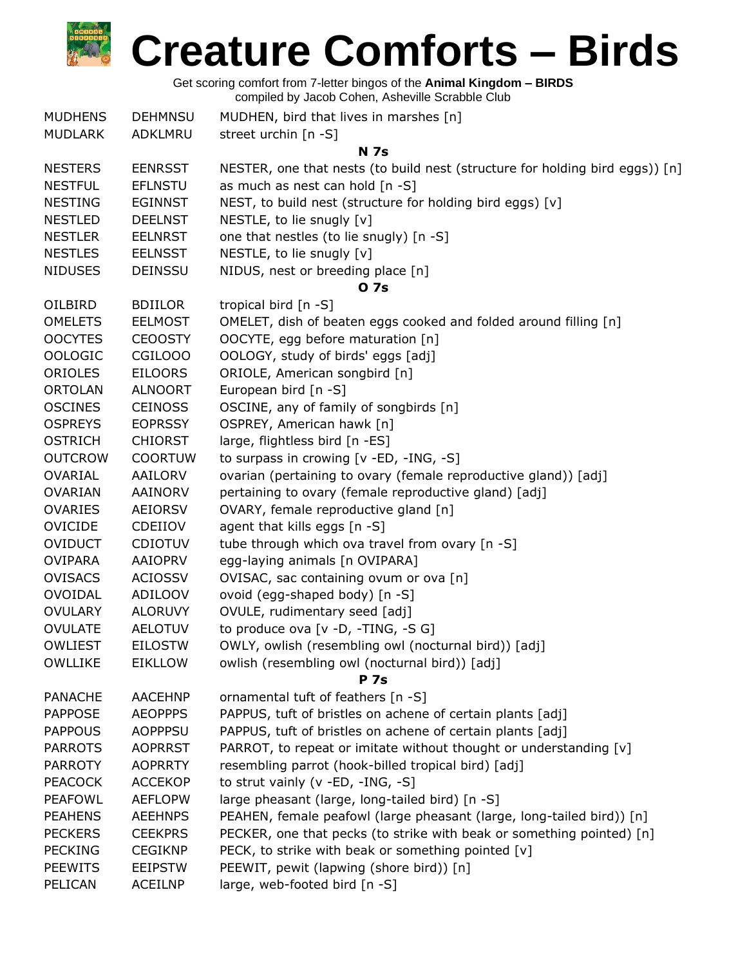| <b>MUDHENS</b> | <b>DEHMNSU</b> | MUDHEN, bird that lives in marshes [n]                                       |
|----------------|----------------|------------------------------------------------------------------------------|
| <b>MUDLARK</b> | ADKLMRU        | street urchin [n -S]                                                         |
|                |                | <b>N</b> 7s                                                                  |
| <b>NESTERS</b> | <b>EENRSST</b> | NESTER, one that nests (to build nest (structure for holding bird eggs)) [n] |
| <b>NESTFUL</b> | <b>EFLNSTU</b> | as much as nest can hold [n -S]                                              |
| <b>NESTING</b> | <b>EGINNST</b> | NEST, to build nest (structure for holding bird eggs) [v]                    |
| <b>NESTLED</b> | <b>DEELNST</b> | NESTLE, to lie snugly [v]                                                    |
| <b>NESTLER</b> | <b>EELNRST</b> | one that nestles (to lie snugly) [n -S]                                      |
| <b>NESTLES</b> | <b>EELNSST</b> | NESTLE, to lie snugly [v]                                                    |
| <b>NIDUSES</b> | <b>DEINSSU</b> | NIDUS, nest or breeding place [n]                                            |
|                |                | 0 7s                                                                         |
| OILBIRD        | <b>BDIILOR</b> | tropical bird [n -S]                                                         |
| <b>OMELETS</b> | <b>EELMOST</b> | OMELET, dish of beaten eggs cooked and folded around filling [n]             |
| <b>OOCYTES</b> | <b>CEOOSTY</b> | OOCYTE, egg before maturation [n]                                            |
| <b>OOLOGIC</b> | CGILOOO        | OOLOGY, study of birds' eggs [adj]                                           |
| <b>ORIOLES</b> | <b>EILOORS</b> | ORIOLE, American songbird [n]                                                |
| <b>ORTOLAN</b> | <b>ALNOORT</b> | European bird $[n -S]$                                                       |
| <b>OSCINES</b> | <b>CEINOSS</b> | OSCINE, any of family of songbirds [n]                                       |
| <b>OSPREYS</b> | <b>EOPRSSY</b> | OSPREY, American hawk [n]                                                    |
| <b>OSTRICH</b> | <b>CHIORST</b> | large, flightless bird [n -ES]                                               |
| <b>OUTCROW</b> | <b>COORTUW</b> | to surpass in crowing [v -ED, -ING, -S]                                      |
| <b>OVARIAL</b> | <b>AAILORV</b> | ovarian (pertaining to ovary (female reproductive gland)) [adj]              |
| <b>OVARIAN</b> | AAINORV        | pertaining to ovary (female reproductive gland) [adj]                        |
| <b>OVARIES</b> | <b>AEIORSV</b> | OVARY, female reproductive gland [n]                                         |
| <b>OVICIDE</b> | CDEIIOV        | agent that kills eggs [n -S]                                                 |
| <b>OVIDUCT</b> | <b>CDIOTUV</b> | tube through which ova travel from ovary [n -S]                              |
| <b>OVIPARA</b> | <b>AAIOPRV</b> | egg-laying animals [n OVIPARA]                                               |
| <b>OVISACS</b> | <b>ACIOSSV</b> | OVISAC, sac containing ovum or ova [n]                                       |
| <b>OVOIDAL</b> | ADILOOV        | ovoid (egg-shaped body) [n -S]                                               |
| <b>OVULARY</b> | <b>ALORUVY</b> | OVULE, rudimentary seed [adj]                                                |
| <b>OVULATE</b> | <b>AELOTUV</b> | to produce ova [v -D, -TING, -S G]                                           |
| <b>OWLIEST</b> | <b>EILOSTW</b> | OWLY, owlish (resembling owl (nocturnal bird)) [adj]                         |
| <b>OWLLIKE</b> | <b>EIKLLOW</b> | owlish (resembling owl (nocturnal bird)) [adj]                               |
|                |                | <b>P</b> 7s                                                                  |
| <b>PANACHE</b> | <b>AACEHNP</b> | ornamental tuft of feathers [n -S]                                           |
| <b>PAPPOSE</b> | <b>AEOPPPS</b> | PAPPUS, tuft of bristles on achene of certain plants [adj]                   |
| <b>PAPPOUS</b> | <b>AOPPPSU</b> | PAPPUS, tuft of bristles on achene of certain plants [adj]                   |
| <b>PARROTS</b> | <b>AOPRRST</b> | PARROT, to repeat or imitate without thought or understanding [v]            |
| <b>PARROTY</b> | <b>AOPRRTY</b> | resembling parrot (hook-billed tropical bird) [adj]                          |
| <b>PEACOCK</b> | <b>ACCEKOP</b> | to strut vainly (v -ED, -ING, -S]                                            |
| <b>PEAFOWL</b> | <b>AEFLOPW</b> | large pheasant (large, long-tailed bird) [n -S]                              |
| <b>PEAHENS</b> | <b>AEEHNPS</b> | PEAHEN, female peafowl (large pheasant (large, long-tailed bird)) [n]        |
| <b>PECKERS</b> | <b>CEEKPRS</b> | PECKER, one that pecks (to strike with beak or something pointed) [n]        |
| <b>PECKING</b> | <b>CEGIKNP</b> | PECK, to strike with beak or something pointed [v]                           |
| <b>PEEWITS</b> | <b>EEIPSTW</b> | PEEWIT, pewit (lapwing (shore bird)) [n]                                     |
| PELICAN        | <b>ACEILNP</b> | large, web-footed bird [n -S]                                                |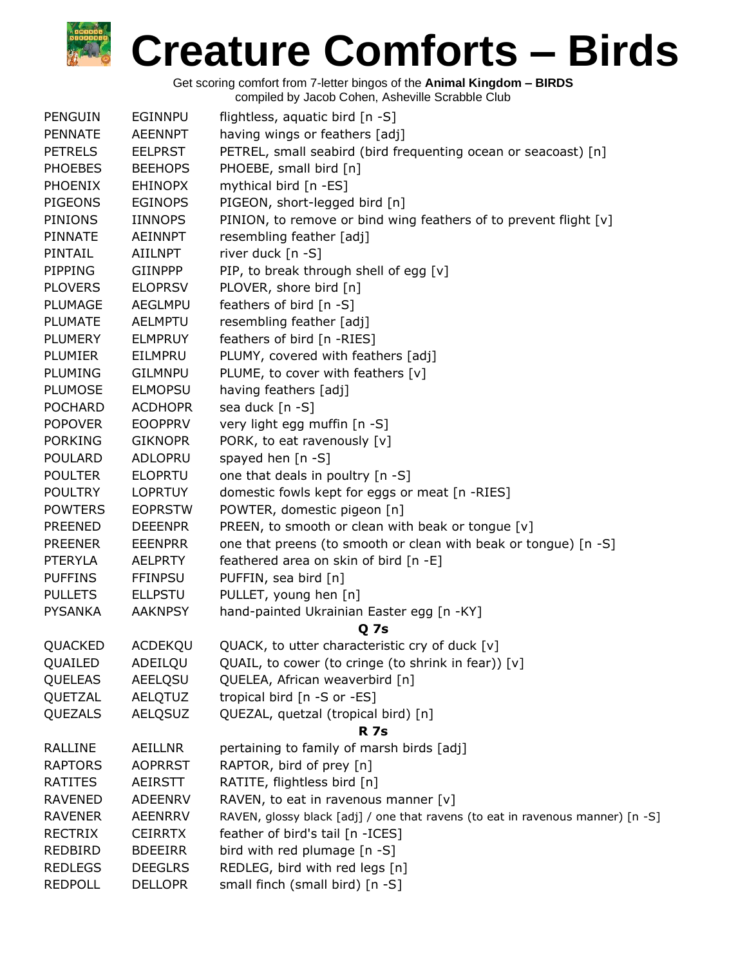| PENGUIN        | <b>EGINNPU</b>                   | flightless, aquatic bird [n -S]                                                |
|----------------|----------------------------------|--------------------------------------------------------------------------------|
| <b>PENNATE</b> | <b>AEENNPT</b>                   | having wings or feathers [adj]                                                 |
| <b>PETRELS</b> | <b>EELPRST</b>                   | PETREL, small seabird (bird frequenting ocean or seacoast) [n]                 |
| <b>PHOEBES</b> | <b>BEEHOPS</b>                   | PHOEBE, small bird [n]                                                         |
| <b>PHOENIX</b> | <b>EHINOPX</b>                   | mythical bird [n -ES]                                                          |
| <b>PIGEONS</b> | <b>EGINOPS</b>                   | PIGEON, short-legged bird [n]                                                  |
| <b>PINIONS</b> | <b>IINNOPS</b>                   | PINION, to remove or bind wing feathers of to prevent flight [v]               |
| <b>PINNATE</b> | <b>AEINNPT</b>                   | resembling feather [adj]                                                       |
| PINTAIL        | AIILNPT                          | river duck [n -S]                                                              |
| PIPPING        | <b>GIINPPP</b>                   | PIP, to break through shell of egg [v]                                         |
| <b>PLOVERS</b> | <b>ELOPRSV</b>                   | PLOVER, shore bird [n]                                                         |
| <b>PLUMAGE</b> | <b>AEGLMPU</b>                   | feathers of bird [n -S]                                                        |
| <b>PLUMATE</b> | <b>AELMPTU</b>                   | resembling feather [adj]                                                       |
| <b>PLUMERY</b> | <b>ELMPRUY</b>                   | feathers of bird [n -RIES]                                                     |
| PLUMIER        | EILMPRU                          | PLUMY, covered with feathers [adj]                                             |
| PLUMING        | <b>GILMNPU</b>                   | PLUME, to cover with feathers [v]                                              |
| <b>PLUMOSE</b> | <b>ELMOPSU</b>                   | having feathers [adj]                                                          |
| <b>POCHARD</b> | <b>ACDHOPR</b>                   | sea duck [n -S]                                                                |
| <b>POPOVER</b> | <b>EOOPPRV</b>                   | very light egg muffin [n -S]                                                   |
| <b>PORKING</b> | <b>GIKNOPR</b>                   | PORK, to eat ravenously [v]                                                    |
| <b>POULARD</b> | ADLOPRU                          | spayed hen $[n - S]$                                                           |
| <b>POULTER</b> | <b>ELOPRTU</b>                   | one that deals in poultry [n -S]                                               |
| <b>POULTRY</b> | <b>LOPRTUY</b>                   | domestic fowls kept for eggs or meat [n -RIES]                                 |
| <b>POWTERS</b> | <b>EOPRSTW</b>                   | POWTER, domestic pigeon [n]                                                    |
| <b>PREENED</b> | <b>DEEENPR</b>                   | PREEN, to smooth or clean with beak or tongue [v]                              |
| <b>PREENER</b> | <b>EEENPRR</b>                   | one that preens (to smooth or clean with beak or tongue) [n -S]                |
| <b>PTERYLA</b> | <b>AELPRTY</b>                   | feathered area on skin of bird [n -E]                                          |
| <b>PUFFINS</b> |                                  |                                                                                |
|                | <b>FFINPSU</b>                   | PUFFIN, sea bird [n]                                                           |
| <b>PULLETS</b> | <b>ELLPSTU</b><br><b>AAKNPSY</b> | PULLET, young hen [n]                                                          |
| <b>PYSANKA</b> |                                  | hand-painted Ukrainian Easter egg [n -KY]<br><b>Q</b> 7s                       |
| QUACKED        | ACDEKQU                          | QUACK, to utter characteristic cry of duck [v]                                 |
| QUAILED        | ADEILQU                          | QUAIL, to cower (to cringe (to shrink in fear)) [v]                            |
| QUELEAS        | <b>AEELQSU</b>                   | QUELEA, African weaverbird [n]                                                 |
| QUETZAL        | AELQTUZ                          | tropical bird [n -S or -ES]                                                    |
| QUEZALS        | <b>AELQSUZ</b>                   | QUEZAL, quetzal (tropical bird) [n]                                            |
|                |                                  | <b>R</b> 7s                                                                    |
| <b>RALLINE</b> | <b>AEILLNR</b>                   | pertaining to family of marsh birds [adj]                                      |
| <b>RAPTORS</b> | <b>AOPRRST</b>                   | RAPTOR, bird of prey [n]                                                       |
| <b>RATITES</b> | <b>AEIRSTT</b>                   | RATITE, flightless bird [n]                                                    |
| <b>RAVENED</b> | <b>ADEENRV</b>                   | RAVEN, to eat in ravenous manner [v]                                           |
| <b>RAVENER</b> | <b>AEENRRV</b>                   | RAVEN, glossy black [adj] / one that ravens (to eat in ravenous manner) [n -S] |
| <b>RECTRIX</b> | <b>CEIRRTX</b>                   | feather of bird's tail [n -ICES]                                               |
| <b>REDBIRD</b> | <b>BDEEIRR</b>                   | bird with red plumage [n -S]                                                   |
| <b>REDLEGS</b> | <b>DEEGLRS</b>                   | REDLEG, bird with red legs [n]                                                 |
| <b>REDPOLL</b> | <b>DELLOPR</b>                   | small finch (small bird) [n -S]                                                |
|                |                                  |                                                                                |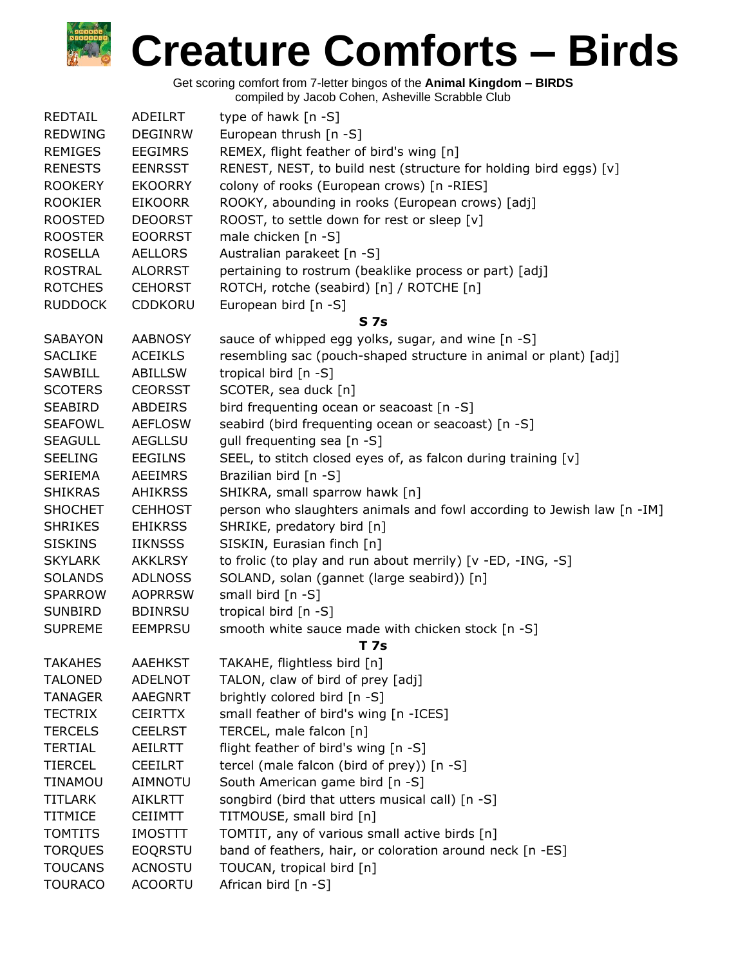| <b>REDTAIL</b> | ADEILRT        | type of hawk [n -S]                                                    |
|----------------|----------------|------------------------------------------------------------------------|
| <b>REDWING</b> | <b>DEGINRW</b> | European thrush [n -S]                                                 |
| <b>REMIGES</b> | <b>EEGIMRS</b> | REMEX, flight feather of bird's wing [n]                               |
| <b>RENESTS</b> | <b>EENRSST</b> | RENEST, NEST, to build nest (structure for holding bird eggs) [v]      |
| <b>ROOKERY</b> | <b>EKOORRY</b> | colony of rooks (European crows) [n -RIES]                             |
| <b>ROOKIER</b> | <b>EIKOORR</b> | ROOKY, abounding in rooks (European crows) [adj]                       |
| <b>ROOSTED</b> | <b>DEOORST</b> | ROOST, to settle down for rest or sleep [v]                            |
| <b>ROOSTER</b> | <b>EOORRST</b> | male chicken [n -S]                                                    |
| <b>ROSELLA</b> | <b>AELLORS</b> | Australian parakeet [n -S]                                             |
| <b>ROSTRAL</b> | <b>ALORRST</b> | pertaining to rostrum (beaklike process or part) [adj]                 |
| <b>ROTCHES</b> | <b>CEHORST</b> | ROTCH, rotche (seabird) [n] / ROTCHE [n]                               |
| <b>RUDDOCK</b> | <b>CDDKORU</b> | European bird [n -S]                                                   |
|                |                | <b>S7s</b>                                                             |
| <b>SABAYON</b> | <b>AABNOSY</b> | sauce of whipped egg yolks, sugar, and wine [n -S]                     |
| <b>SACLIKE</b> | <b>ACEIKLS</b> | resembling sac (pouch-shaped structure in animal or plant) [adj]       |
| SAWBILL        | <b>ABILLSW</b> | tropical bird [n -S]                                                   |
| <b>SCOTERS</b> | <b>CEORSST</b> | SCOTER, sea duck [n]                                                   |
| SEABIRD        | ABDEIRS        | bird frequenting ocean or seacoast [n -S]                              |
| <b>SEAFOWL</b> | <b>AEFLOSW</b> | seabird (bird frequenting ocean or seacoast) [n -S]                    |
| <b>SEAGULL</b> | AEGLLSU        | gull frequenting sea [n -S]                                            |
| <b>SEELING</b> | <b>EEGILNS</b> | SEEL, to stitch closed eyes of, as falcon during training [v]          |
|                |                |                                                                        |
| <b>SERIEMA</b> | AEEIMRS        | Brazilian bird [n -S]                                                  |
| <b>SHIKRAS</b> | AHIKRSS        | SHIKRA, small sparrow hawk [n]                                         |
| <b>SHOCHET</b> | <b>CEHHOST</b> | person who slaughters animals and fowl according to Jewish law [n -IM] |
| <b>SHRIKES</b> | <b>EHIKRSS</b> | SHRIKE, predatory bird [n]                                             |
| <b>SISKINS</b> | <b>IIKNSSS</b> | SISKIN, Eurasian finch [n]                                             |
| <b>SKYLARK</b> | <b>AKKLRSY</b> | to frolic (to play and run about merrily) [v -ED, -ING, -S]            |
| <b>SOLANDS</b> | <b>ADLNOSS</b> | SOLAND, solan (gannet (large seabird)) [n]                             |
| <b>SPARROW</b> | <b>AOPRRSW</b> | small bird [n -S]                                                      |
| <b>SUNBIRD</b> | <b>BDINRSU</b> | tropical bird [n -S]                                                   |
| <b>SUPREME</b> | <b>EEMPRSU</b> | smooth white sauce made with chicken stock [n -S]                      |
|                |                | T 7s                                                                   |
| <b>TAKAHES</b> | <b>AAEHKST</b> | TAKAHE, flightless bird [n]                                            |
| <b>TALONED</b> | <b>ADELNOT</b> | TALON, claw of bird of prey [adj]                                      |
| <b>TANAGER</b> | <b>AAEGNRT</b> | brightly colored bird [n -S]                                           |
| <b>TECTRIX</b> | <b>CEIRTTX</b> | small feather of bird's wing [n -ICES]                                 |
| <b>TERCELS</b> | <b>CEELRST</b> | TERCEL, male falcon [n]                                                |
| <b>TERTIAL</b> | <b>AEILRTT</b> | flight feather of bird's wing [n -S]                                   |
| <b>TIERCEL</b> | <b>CEEILRT</b> | tercel (male falcon (bird of prey)) [n -S]                             |
| <b>TINAMOU</b> | <b>AIMNOTU</b> | South American game bird [n -S]                                        |
| <b>TITLARK</b> | <b>AIKLRTT</b> | songbird (bird that utters musical call) [n -S]                        |
| <b>TITMICE</b> | <b>CEIIMTT</b> | TITMOUSE, small bird [n]                                               |
| <b>TOMTITS</b> | <b>IMOSTTT</b> | TOMTIT, any of various small active birds [n]                          |
| <b>TORQUES</b> | <b>EOQRSTU</b> | band of feathers, hair, or coloration around neck [n -ES]              |
| <b>TOUCANS</b> | <b>ACNOSTU</b> | TOUCAN, tropical bird [n]                                              |
| <b>TOURACO</b> | <b>ACOORTU</b> | African bird [n -S]                                                    |